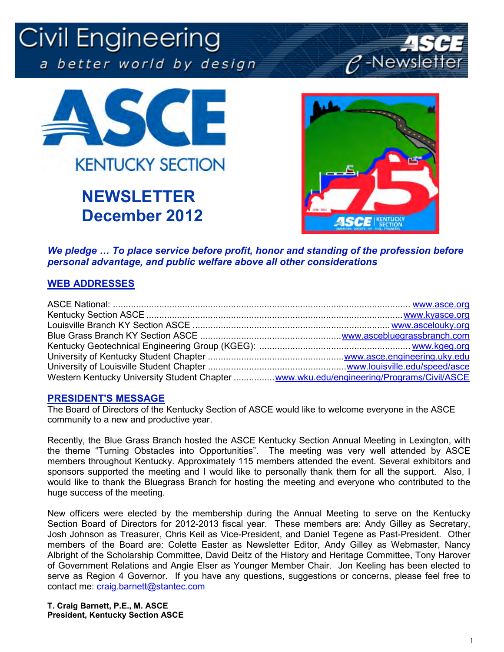# Civil Engineering a better world by design





# **NEWSLETTER December 2012**



*We pledge ... To place service before profit, honor and standing of the profession before personal advantage, and public welfare above all other considerations* 

#### **WEB ADDRESSES**

| Western Kentucky University Student Chapter  www.wku.edu/engineering/Programs/Civil/ASCE |  |
|------------------------------------------------------------------------------------------|--|

#### **PRESIDENT'S MESSAGE**

The Board of Directors of the Kentucky Section of ASCE would like to welcome everyone in the ASCE community to a new and productive year.

Recently, the Blue Grass Branch hosted the ASCE Kentucky Section Annual Meeting in Lexington, with the theme "Turning Obstacles into Opportunities". The meeting was very well attended by ASCE members throughout Kentucky. Approximately 115 members attended the event. Several exhibitors and sponsors supported the meeting and I would like to personally thank them for all the support. Also, I would like to thank the Bluegrass Branch for hosting the meeting and everyone who contributed to the huge success of the meeting.

New officers were elected by the membership during the Annual Meeting to serve on the Kentucky Section Board of Directors for 2012-2013 fiscal year. These members are: Andy Gilley as Secretary, Josh Johnson as Treasurer, Chris Keil as Vice-President, and Daniel Tegene as Past-President. Other members of the Board are: Colette Easter as Newsletter Editor, Andy Gilley as Webmaster, Nancy Albright of the Scholarship Committee, David Deitz of the History and Heritage Committee, Tony Harover of Government Relations and Angie Elser as Younger Member Chair. Jon Keeling has been elected to serve as Region 4 Governor. If you have any questions, suggestions or concerns, please feel free to contact me: craig.barnett@stantec.com

**T. Craig Barnett, P.E., M. ASCE President, Kentucky Section ASCE**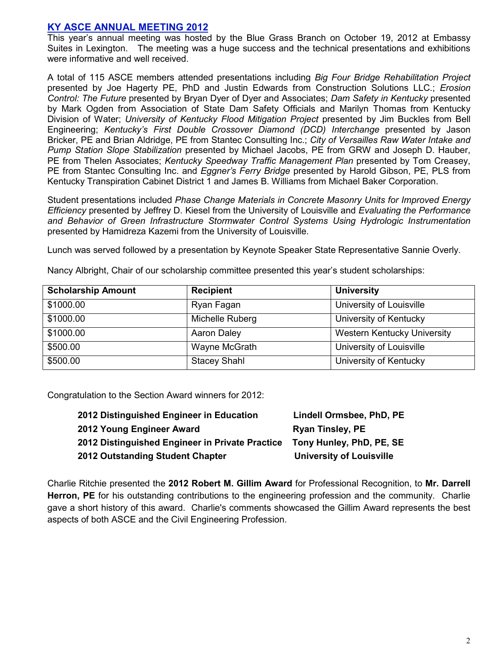#### **KY ASCE ANNUAL MEETING 2012**

This year's annual meeting was hosted by the Blue Grass Branch on October 19, 2012 at Embassy Suites in Lexington. The meeting was a huge success and the technical presentations and exhibitions were informative and well received.

A total of 115 ASCE members attended presentations including *Big Four Bridge Rehabilitation Project* presented by Joe Hagerty PE, PhD and Justin Edwards from Construction Solutions LLC.; *Erosion Control: The Future* presented by Bryan Dyer of Dyer and Associates; *Dam Safety in Kentucky* presented by Mark Ogden from Association of State Dam Safety Officials and Marilyn Thomas from Kentucky Division of Water; *University of Kentucky Flood Mitigation Project* presented by Jim Buckles from Bell Engineering; *Kentucky's First Double Crossover Diamond (DCD) Interchange* presented by Jason Bricker, PE and Brian Aldridge, PE from Stantec Consulting Inc.; *City of Versailles Raw Water Intake and Pump Station Slope Stabilization* presented by Michael Jacobs, PE from GRW and Joseph D. Hauber, PE from Thelen Associates; *Kentucky Speedway Traffic Management Plan* presented by Tom Creasey, PE from Stantec Consulting Inc. and *Eggner's Ferry Bridge* presented by Harold Gibson, PE, PLS from Kentucky Transpiration Cabinet District 1 and James B. Williams from Michael Baker Corporation.

Student presentations included *Phase Change Materials in Concrete Masonry Units for Improved Energy Efficiency* presented by Jeffrey D. Kiesel from the University of Louisville and *Evaluating the Performance and Behavior of Green Infrastructure Stormwater Control Systems Using Hydrologic Instrumentation* presented by Hamidreza Kazemi from the University of Louisville.

Lunch was served followed by a presentation by Keynote Speaker State Representative Sannie Overly.

| <b>Scholarship Amount</b> | <b>Recipient</b>    | <b>University</b>                  |
|---------------------------|---------------------|------------------------------------|
| \$1000.00                 | Ryan Fagan          | University of Louisville           |
| \$1000.00                 | Michelle Ruberg     | University of Kentucky             |
| \$1000.00                 | Aaron Daley         | <b>Western Kentucky University</b> |
| \$500.00                  | Wayne McGrath       | University of Louisville           |
| \$500.00                  | <b>Stacey Shahl</b> | University of Kentucky             |

Nancy Albright, Chair of our scholarship committee presented this year's student scholarships:

Congratulation to the Section Award winners for 2012:

| 2012 Distinguished Engineer in Education        | Lindell Ormsbee, PhD, PE        |
|-------------------------------------------------|---------------------------------|
| 2012 Young Engineer Award                       | <b>Ryan Tinsley, PE</b>         |
| 2012 Distinguished Engineer in Private Practice | Tony Hunley, PhD, PE, SE        |
| 2012 Outstanding Student Chapter                | <b>University of Louisville</b> |

Charlie Ritchie presented the **2012 Robert M. Gillim Award** for Professional Recognition, to **Mr. Darrell Herron, PE** for his outstanding contributions to the engineering profession and the community. Charlie gave a short history of this award. Charlie's comments showcased the Gillim Award represents the best aspects of both ASCE and the Civil Engineering Profession.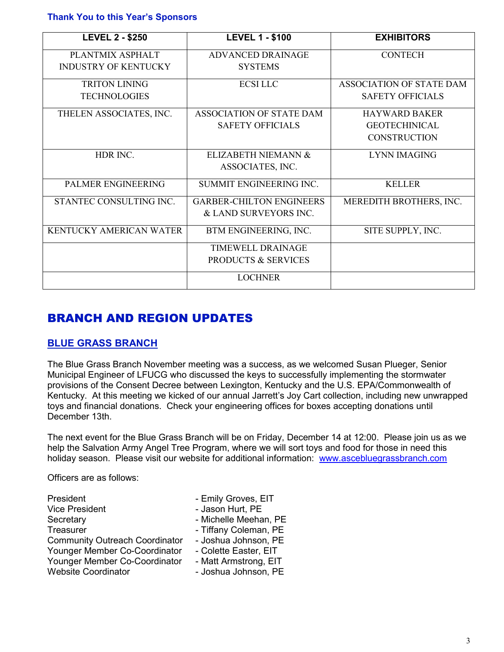**Thank You to this Year's Sponsors** 

| <b>LEVEL 2 - \$250</b>         | <b>LEVEL 1 - \$100</b>          | <b>EXHIBITORS</b>               |
|--------------------------------|---------------------------------|---------------------------------|
| PLANTMIX ASPHALT               | <b>ADVANCED DRAINAGE</b>        | <b>CONTECH</b>                  |
| <b>INDUSTRY OF KENTUCKY</b>    | <b>SYSTEMS</b>                  |                                 |
| <b>TRITON LINING</b>           | <b>ECSILLC</b>                  | <b>ASSOCIATION OF STATE DAM</b> |
| <b>TECHNOLOGIES</b>            |                                 | <b>SAFETY OFFICIALS</b>         |
| THELEN ASSOCIATES, INC.        | ASSOCIATION OF STATE DAM        | <b>HAYWARD BAKER</b>            |
|                                | <b>SAFETY OFFICIALS</b>         | <b>GEOTECHINICAL</b>            |
|                                |                                 | <b>CONSTRUCTION</b>             |
| HDR INC.                       | ELIZABETH NIEMANN &             | <b>LYNN IMAGING</b>             |
|                                | ASSOCIATES, INC.                |                                 |
| PALMER ENGINEERING             | SUMMIT ENGINEERING INC.         | <b>KELLER</b>                   |
| STANTEC CONSULTING INC.        | <b>GARBER-CHILTON ENGINEERS</b> | MEREDITH BROTHERS, INC.         |
|                                | & LAND SURVEYORS INC.           |                                 |
| <b>KENTUCKY AMERICAN WATER</b> | BTM ENGINEERING, INC.           | SITE SUPPLY, INC.               |
|                                | TIMEWELL DRAINAGE               |                                 |
|                                | <b>PRODUCTS &amp; SERVICES</b>  |                                 |
|                                | <b>LOCHNER</b>                  |                                 |

### BRANCH AND REGION UPDATES

#### **BLUE GRASS BRANCH**

The Blue Grass Branch November meeting was a success, as we welcomed Susan Plueger, Senior Municipal Engineer of LFUCG who discussed the keys to successfully implementing the stormwater provisions of the Consent Decree between Lexington, Kentucky and the U.S. EPA/Commonwealth of Kentucky. At this meeting we kicked of our annual Jarrett's Joy Cart collection, including new unwrapped toys and financial donations. Check your engineering offices for boxes accepting donations until December 13th.

The next event for the Blue Grass Branch will be on Friday, December 14 at 12:00. Please join us as we help the Salvation Army Angel Tree Program, where we will sort toys and food for those in need this holiday season. Please visit our website for additional information: www.ascebluegrassbranch.com

Officers are as follows:

| President                             | - Emily Groves, EIT   |
|---------------------------------------|-----------------------|
| <b>Vice President</b>                 | - Jason Hurt, PE      |
| Secretary                             | - Michelle Meehan, PE |
| Treasurer                             | - Tiffany Coleman, PE |
| <b>Community Outreach Coordinator</b> | - Joshua Johnson, PE  |
| Younger Member Co-Coordinator         | - Colette Easter, EIT |
| Younger Member Co-Coordinator         | - Matt Armstrong, EIT |
| <b>Website Coordinator</b>            | - Joshua Johnson, PE  |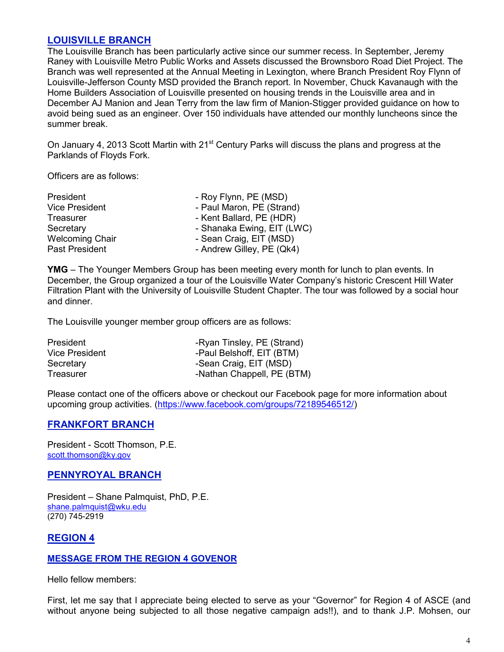#### **LOUISVILLE BRANCH**

The Louisville Branch has been particularly active since our summer recess. In September, Jeremy Raney with Louisville Metro Public Works and Assets discussed the Brownsboro Road Diet Project. The Branch was well represented at the Annual Meeting in Lexington, where Branch President Roy Flynn of Louisville-Jefferson County MSD provided the Branch report. In November, Chuck Kavanaugh with the Home Builders Association of Louisville presented on housing trends in the Louisville area and in December AJ Manion and Jean Terry from the law firm of Manion-Stigger provided guidance on how to avoid being sued as an engineer. Over 150 individuals have attended our monthly luncheons since the summer break.

On January 4, 2013 Scott Martin with 21<sup>st</sup> Century Parks will discuss the plans and progress at the Parklands of Floyds Fork.

Officers are as follows:

| - Roy Flynn, PE (MSD)      |
|----------------------------|
| - Paul Maron, PE (Strand)  |
| - Kent Ballard, PE (HDR)   |
| - Shanaka Ewing, EIT (LWC) |
| - Sean Craig, EIT (MSD)    |
| - Andrew Gilley, PE (Qk4)  |
|                            |

**YMG** – The Younger Members Group has been meeting every month for lunch to plan events. In December, the Group organized a tour of the Louisville Water Company's historic Crescent Hill Water Filtration Plant with the University of Louisville Student Chapter. The tour was followed by a social hour and dinner.

The Louisville younger member group officers are as follows:

| <b>President</b> | -Ryan Tinsley, PE (Strand) |
|------------------|----------------------------|
| Vice President   | -Paul Belshoff, EIT (BTM)  |
| Secretary        | -Sean Craig, EIT (MSD)     |
| Treasurer        | -Nathan Chappell, PE (BTM) |

Please contact one of the officers above or checkout our Facebook page for more information about upcoming group activities. (https://www.facebook.com/groups/72189546512/)

#### **FRANKFORT BRANCH**

President - Scott Thomson, P.E. scott.thomson@ky.gov

#### **PENNYROYAL BRANCH**

President – Shane Palmquist, PhD, P.E. shane.palmquist@wku.edu (270) 745-2919

#### **REGION 4**

#### **MESSAGE FROM THE REGION 4 GOVENOR**

Hello fellow members:

First, let me say that I appreciate being elected to serve as your "Governor" for Region 4 of ASCE (and without anyone being subjected to all those negative campaign ads!!), and to thank J.P. Mohsen, our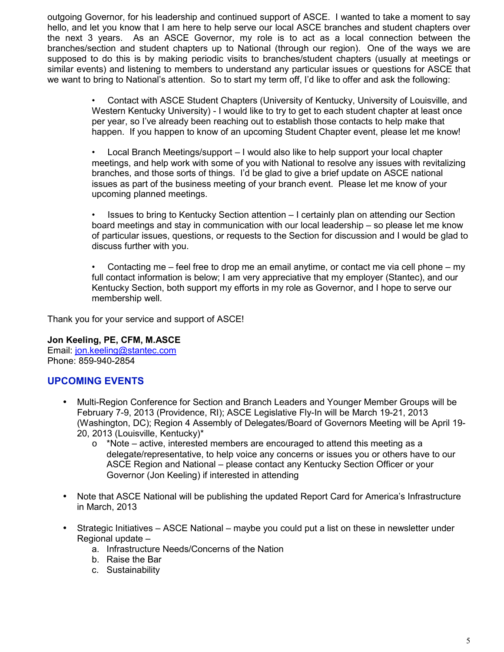outgoing Governor, for his leadership and continued support of ASCE. I wanted to take a moment to say hello, and let you know that I am here to help serve our local ASCE branches and student chapters over the next 3 years. As an ASCE Governor, my role is to act as a local connection between the branches/section and student chapters up to National (through our region). One of the ways we are supposed to do this is by making periodic visits to branches/student chapters (usually at meetings or similar events) and listening to members to understand any particular issues or questions for ASCE that we want to bring to National's attention. So to start my term off, I'd like to offer and ask the following:

> • Contact with ASCE Student Chapters (University of Kentucky, University of Louisville, and Western Kentucky University) - I would like to try to get to each student chapter at least once per year, so I've already been reaching out to establish those contacts to help make that happen. If you happen to know of an upcoming Student Chapter event, please let me know!

> • Local Branch Meetings/support – I would also like to help support your local chapter meetings, and help work with some of you with National to resolve any issues with revitalizing branches, and those sorts of things. I'd be glad to give a brief update on ASCE national issues as part of the business meeting of your branch event. Please let me know of your upcoming planned meetings.

> • Issues to bring to Kentucky Section attention – I certainly plan on attending our Section board meetings and stay in communication with our local leadership – so please let me know of particular issues, questions, or requests to the Section for discussion and I would be glad to discuss further with you.

> Contacting me – feel free to drop me an email anytime, or contact me via cell phone – my full contact information is below; I am very appreciative that my employer (Stantec), and our Kentucky Section, both support my efforts in my role as Governor, and I hope to serve our membership well.

Thank you for your service and support of ASCE!

**Jon Keeling, PE, CFM, M.ASCE**  Email: jon.keeling@stantec.com Phone: 859-940-2854

#### **UPCOMING EVENTS**

- Multi-Region Conference for Section and Branch Leaders and Younger Member Groups will be February 7-9, 2013 (Providence, RI); ASCE Legislative Fly-In will be March 19-21, 2013 (Washington, DC); Region 4 Assembly of Delegates/Board of Governors Meeting will be April 19-20, 2013 (Louisville, Kentucky)\*
	- $\circ$  \*Note active, interested members are encouraged to attend this meeting as a delegate/representative, to help voice any concerns or issues you or others have to our ASCE Region and National – please contact any Kentucky Section Officer or your Governor (Jon Keeling) if interested in attending
- Note that ASCE National will be publishing the updated Report Card for America's Infrastructure in March, 2013
- Strategic Initiatives ASCE National maybe you could put a list on these in newsletter under Regional update –
	- a. Infrastructure Needs/Concerns of the Nation
	- b. Raise the Bar
	- c. Sustainability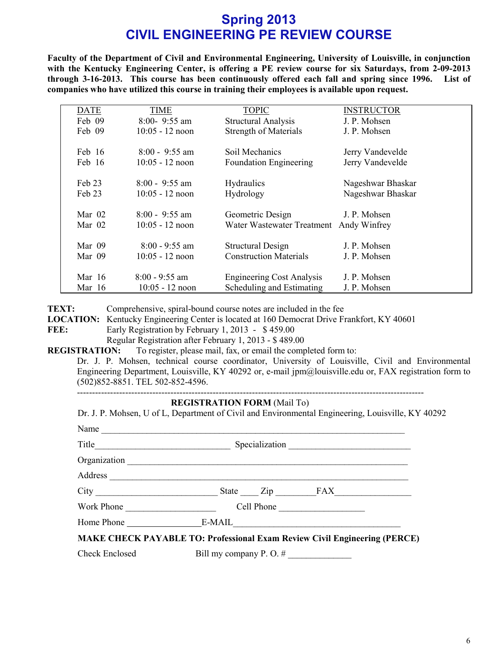## **Spring 2013 CIVIL ENGINEERING PE REVIEW COURSE**

**Faculty of the Department of Civil and Environmental Engineering, University of Louisville, in conjunction**  with the Kentucky Engineering Center, is offering a PE review course for six Saturdays, from 2-09-2013 **through 3\$16\$2013. This course has been continuously offered each fall and spring since 1996. List of companies who have utilized this course in training their employees is available upon request.** 

| <b>DATE</b> | TIME                      | <b>TOPIC</b>                     | <b>INSTRUCTOR</b> |
|-------------|---------------------------|----------------------------------|-------------------|
| Feb 09      | $8:00 - 9:55$ am          | <b>Structural Analysis</b>       | J. P. Mohsen      |
| Feb 09      | $10:05 - 12 \text{ noon}$ | <b>Strength of Materials</b>     | J. P. Mohsen      |
|             |                           |                                  |                   |
| Feb 16      | $8:00 - 9:55$ am          | Soil Mechanics                   | Jerry Vandevelde  |
| Feb 16      | $10:05 - 12$ noon         | <b>Foundation Engineering</b>    | Jerry Vandevelde  |
|             |                           |                                  |                   |
| Feb 23      | $8:00 - 9:55$ am          | Hydraulics                       | Nageshwar Bhaskar |
| Feb 23      | $10:05 - 12$ noon         | Hydrology                        | Nageshwar Bhaskar |
|             |                           |                                  |                   |
| Mar $02$    | $8:00 - 9:55$ am          | Geometric Design                 | J. P. Mohsen      |
| Mar $02$    | $10:05 - 12$ noon         | Water Wastewater Treatment       | Andy Winfrey      |
|             |                           |                                  |                   |
| Mar 09      | $8:00 - 9:55$ am          | <b>Structural Design</b>         | J. P. Mohsen      |
| Mar 09      | $10:05 - 12$ noon         | <b>Construction Materials</b>    | J. P. Mohsen      |
|             |                           |                                  |                   |
| Mar $16$    | $8:00 - 9:55$ am          | <b>Engineering Cost Analysis</b> | J. P. Mohsen      |
| Mar $16$    | $10:05 - 12$ noon         | Scheduling and Estimating        | J. P. Mohsen      |

**TEXT:** Comprehensive, spiral-bound course notes are included in the fee

**LOCATION:** Kentucky Engineering Center is located at 160 Democrat Drive Frankfort, KY 40601 **FEE:** Early Registration by February 1, 2013 - \$459.00

Regular Registration after February 1, 2013 - \$489.00

**REGISTRATION:** To register, please mail, fax, or email the completed form to:

Dr. J. P. Mohsen, technical course coordinator, University of Louisville, Civil and Environmental Engineering Department, Louisville, KY 40292 or, e-mail jpm@louisville.edu or, FAX registration form to (502)852 8851. TEL 502 852 4596.

-----------------------------

#### **REGISTRATION FORM** (Mail To)

|            | Dr. J. P. Mohsen, U of L, Department of Civil and Environmental Engineering, Louisville, KY 40292 |
|------------|---------------------------------------------------------------------------------------------------|
|            | Name                                                                                              |
|            |                                                                                                   |
|            |                                                                                                   |
|            |                                                                                                   |
|            |                                                                                                   |
| Work Phone | Cell Phone                                                                                        |
|            |                                                                                                   |
|            | <b>MAKE CHECK PAYABLE TO: Professional Exam Review Civil Engineering (PERCE)</b>                  |
|            | Check Enclosed Bill my company P.O. #                                                             |